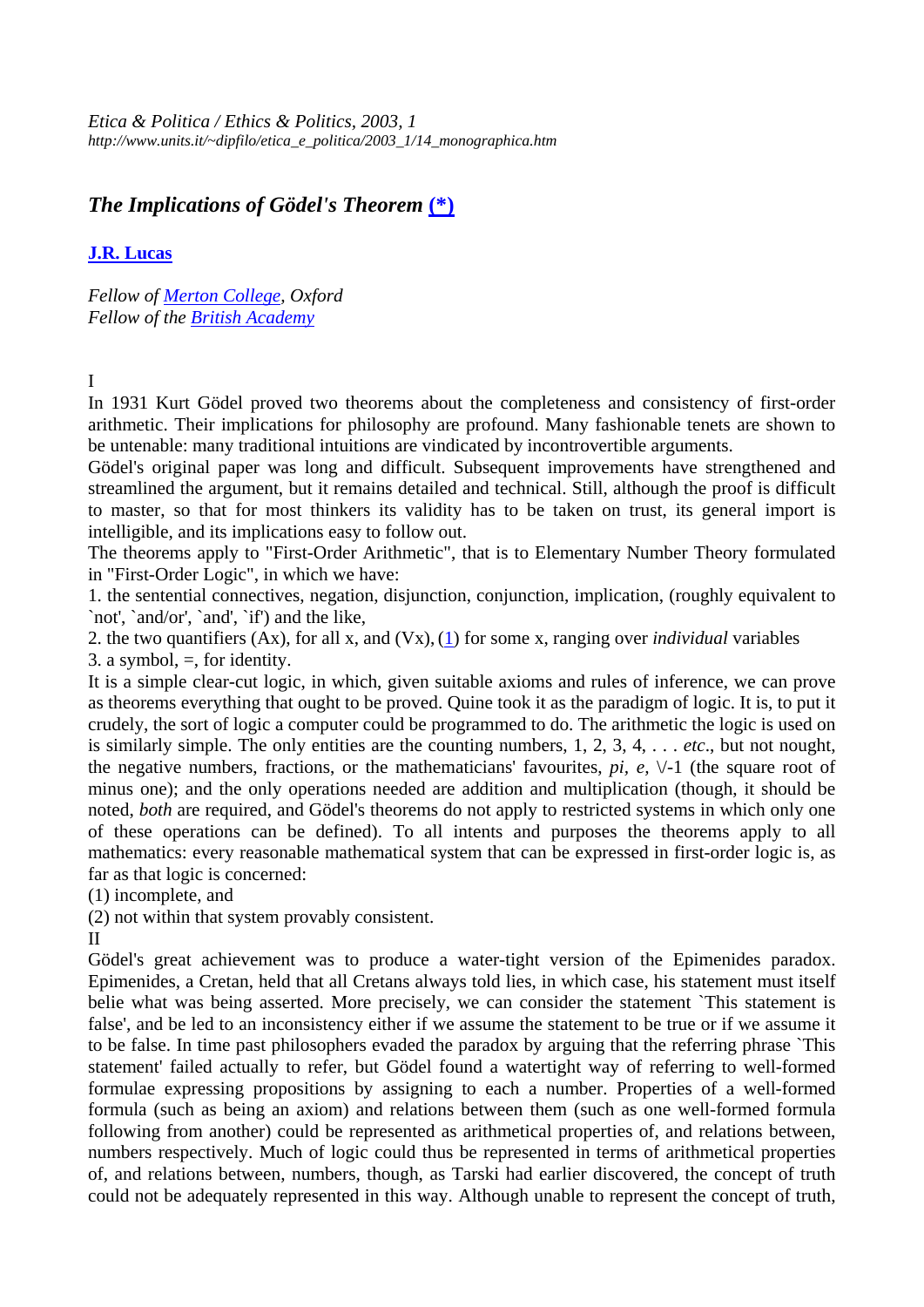*Etica & Politica / Ethics & Politics, 2003, 1 http://www.units.it/~dipfilo/etica\_e\_politica/2003\_1/14\_monographica.htm*

# *The Implications of Gödel's Theorem* **(\*)**

### **J.R. Lucas**

*Fellow of Merton College, Oxford Fellow of the British Academy* 

## I

In 1931 Kurt Gödel proved two theorems about the completeness and consistency of first-order arithmetic. Their implications for philosophy are profound. Many fashionable tenets are shown to be untenable: many traditional intuitions are vindicated by incontrovertible arguments.

Gödel's original paper was long and difficult. Subsequent improvements have strengthened and streamlined the argument, but it remains detailed and technical. Still, although the proof is difficult to master, so that for most thinkers its validity has to be taken on trust, its general import is intelligible, and its implications easy to follow out.

The theorems apply to "First-Order Arithmetic", that is to Elementary Number Theory formulated in "First-Order Logic", in which we have:

1. the sentential connectives, negation, disjunction, conjunction, implication, (roughly equivalent to `not', `and/or', `and', `if') and the like,

2. the two quantifiers (Ax), for all x, and (Vx),(1) for some x, ranging over *individual* variables 3. a symbol,  $=$ , for identity.

It is a simple clear-cut logic, in which, given suitable axioms and rules of inference, we can prove as theorems everything that ought to be proved. Quine took it as the paradigm of logic. It is, to put it crudely, the sort of logic a computer could be programmed to do. The arithmetic the logic is used on is similarly simple. The only entities are the counting numbers, 1, 2, 3, 4, . . . *etc*., but not nought, the negative numbers, fractions, or the mathematicians' favourites,  $pi$ ,  $e$ ,  $\sqrt{-1}$  (the square root of minus one); and the only operations needed are addition and multiplication (though, it should be noted, *both* are required, and Gödel's theorems do not apply to restricted systems in which only one of these operations can be defined). To all intents and purposes the theorems apply to all mathematics: every reasonable mathematical system that can be expressed in first-order logic is, as far as that logic is concerned:

(1) incomplete, and

(2) not within that system provably consistent.

II

Gödel's great achievement was to produce a water-tight version of the Epimenides paradox. Epimenides, a Cretan, held that all Cretans always told lies, in which case, his statement must itself belie what was being asserted. More precisely, we can consider the statement `This statement is false', and be led to an inconsistency either if we assume the statement to be true or if we assume it to be false. In time past philosophers evaded the paradox by arguing that the referring phrase `This statement' failed actually to refer, but Gödel found a watertight way of referring to well-formed formulae expressing propositions by assigning to each a number. Properties of a well-formed formula (such as being an axiom) and relations between them (such as one well-formed formula following from another) could be represented as arithmetical properties of, and relations between, numbers respectively. Much of logic could thus be represented in terms of arithmetical properties of, and relations between, numbers, though, as Tarski had earlier discovered, the concept of truth could not be adequately represented in this way. Although unable to represent the concept of truth,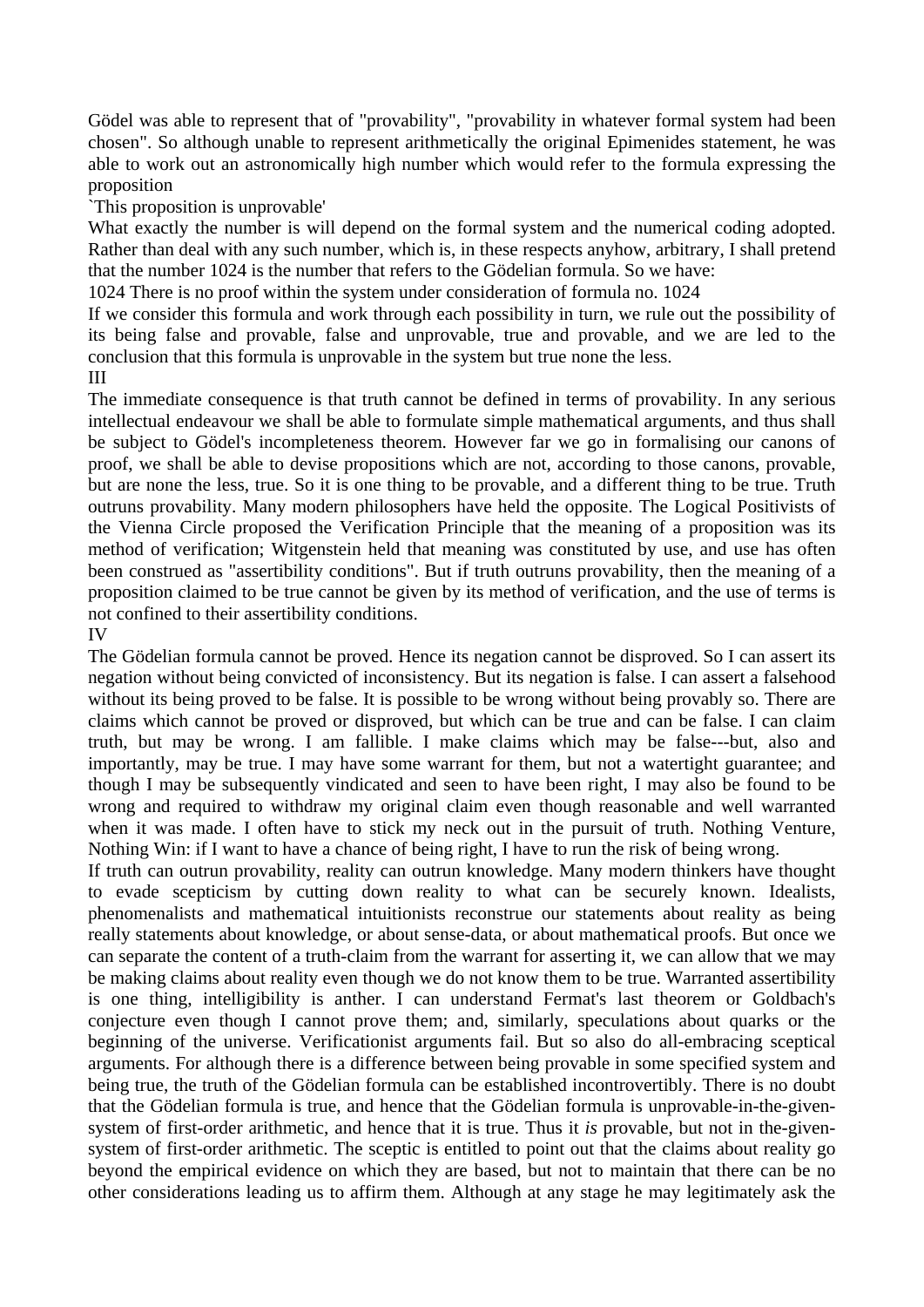Gödel was able to represent that of "provability", "provability in whatever formal system had been chosen". So although unable to represent arithmetically the original Epimenides statement, he was able to work out an astronomically high number which would refer to the formula expressing the proposition

`This proposition is unprovable'

What exactly the number is will depend on the formal system and the numerical coding adopted. Rather than deal with any such number, which is, in these respects anyhow, arbitrary, I shall pretend that the number 1024 is the number that refers to the Gödelian formula. So we have:

1024 There is no proof within the system under consideration of formula no. 1024

If we consider this formula and work through each possibility in turn, we rule out the possibility of its being false and provable, false and unprovable, true and provable, and we are led to the conclusion that this formula is unprovable in the system but true none the less.

III

The immediate consequence is that truth cannot be defined in terms of provability. In any serious intellectual endeavour we shall be able to formulate simple mathematical arguments, and thus shall be subject to Gödel's incompleteness theorem. However far we go in formalising our canons of proof, we shall be able to devise propositions which are not, according to those canons, provable, but are none the less, true. So it is one thing to be provable, and a different thing to be true. Truth outruns provability. Many modern philosophers have held the opposite. The Logical Positivists of the Vienna Circle proposed the Verification Principle that the meaning of a proposition was its method of verification; Witgenstein held that meaning was constituted by use, and use has often been construed as "assertibility conditions". But if truth outruns provability, then the meaning of a proposition claimed to be true cannot be given by its method of verification, and the use of terms is not confined to their assertibility conditions.

#### IV

The Gödelian formula cannot be proved. Hence its negation cannot be disproved. So I can assert its negation without being convicted of inconsistency. But its negation is false. I can assert a falsehood without its being proved to be false. It is possible to be wrong without being provably so. There are claims which cannot be proved or disproved, but which can be true and can be false. I can claim truth, but may be wrong. I am fallible. I make claims which may be false---but, also and importantly, may be true. I may have some warrant for them, but not a watertight guarantee; and though I may be subsequently vindicated and seen to have been right, I may also be found to be wrong and required to withdraw my original claim even though reasonable and well warranted when it was made. I often have to stick my neck out in the pursuit of truth. Nothing Venture, Nothing Win: if I want to have a chance of being right, I have to run the risk of being wrong.

If truth can outrun provability, reality can outrun knowledge. Many modern thinkers have thought to evade scepticism by cutting down reality to what can be securely known. Idealists, phenomenalists and mathematical intuitionists reconstrue our statements about reality as being really statements about knowledge, or about sense-data, or about mathematical proofs. But once we can separate the content of a truth-claim from the warrant for asserting it, we can allow that we may be making claims about reality even though we do not know them to be true. Warranted assertibility is one thing, intelligibility is anther. I can understand Fermat's last theorem or Goldbach's conjecture even though I cannot prove them; and, similarly, speculations about quarks or the beginning of the universe. Verificationist arguments fail. But so also do all-embracing sceptical arguments. For although there is a difference between being provable in some specified system and being true, the truth of the Gödelian formula can be established incontrovertibly. There is no doubt that the Gödelian formula is true, and hence that the Gödelian formula is unprovable-in-the-givensystem of first-order arithmetic, and hence that it is true. Thus it *is* provable, but not in the-givensystem of first-order arithmetic. The sceptic is entitled to point out that the claims about reality go beyond the empirical evidence on which they are based, but not to maintain that there can be no other considerations leading us to affirm them. Although at any stage he may legitimately ask the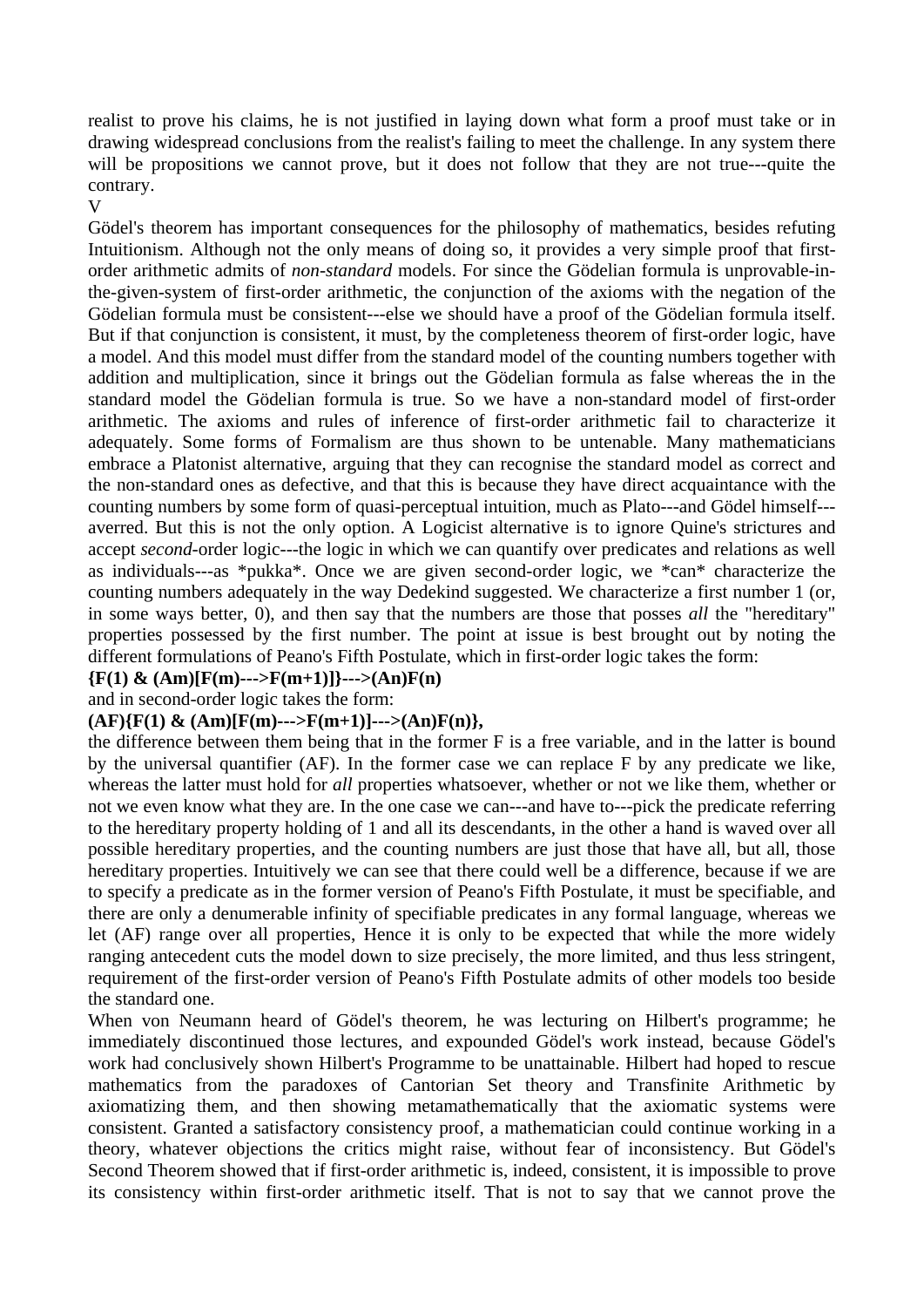realist to prove his claims, he is not justified in laying down what form a proof must take or in drawing widespread conclusions from the realist's failing to meet the challenge. In any system there will be propositions we cannot prove, but it does not follow that they are not true---quite the contrary.

V

Gödel's theorem has important consequences for the philosophy of mathematics, besides refuting Intuitionism. Although not the only means of doing so, it provides a very simple proof that firstorder arithmetic admits of *non-standard* models. For since the Gödelian formula is unprovable-inthe-given-system of first-order arithmetic, the conjunction of the axioms with the negation of the Gödelian formula must be consistent---else we should have a proof of the Gödelian formula itself. But if that conjunction is consistent, it must, by the completeness theorem of first-order logic, have a model. And this model must differ from the standard model of the counting numbers together with addition and multiplication, since it brings out the Gödelian formula as false whereas the in the standard model the Gödelian formula is true. So we have a non-standard model of first-order arithmetic. The axioms and rules of inference of first-order arithmetic fail to characterize it adequately. Some forms of Formalism are thus shown to be untenable. Many mathematicians embrace a Platonist alternative, arguing that they can recognise the standard model as correct and the non-standard ones as defective, and that this is because they have direct acquaintance with the counting numbers by some form of quasi-perceptual intuition, much as Plato---and Gödel himself-- averred. But this is not the only option. A Logicist alternative is to ignore Quine's strictures and accept *second*-order logic---the logic in which we can quantify over predicates and relations as well as individuals---as \*pukka\*. Once we are given second-order logic, we \*can\* characterize the counting numbers adequately in the way Dedekind suggested. We characterize a first number 1 (or, in some ways better, 0), and then say that the numbers are those that posses *all* the "hereditary" properties possessed by the first number. The point at issue is best brought out by noting the different formulations of Peano's Fifth Postulate, which in first-order logic takes the form:

**{F(1) & (Am)[F(m)--->F(m+1)]}--->(An)F(n)** 

and in second-order logic takes the form:

### $(AF)\{F(1) \& (Am)[F(m)--->F(m+1)]--->(An)F(n)\},$

the difference between them being that in the former F is a free variable, and in the latter is bound by the universal quantifier (AF). In the former case we can replace F by any predicate we like, whereas the latter must hold for *all* properties whatsoever, whether or not we like them, whether or not we even know what they are. In the one case we can---and have to---pick the predicate referring to the hereditary property holding of 1 and all its descendants, in the other a hand is waved over all possible hereditary properties, and the counting numbers are just those that have all, but all, those hereditary properties. Intuitively we can see that there could well be a difference, because if we are to specify a predicate as in the former version of Peano's Fifth Postulate, it must be specifiable, and there are only a denumerable infinity of specifiable predicates in any formal language, whereas we let (AF) range over all properties, Hence it is only to be expected that while the more widely ranging antecedent cuts the model down to size precisely, the more limited, and thus less stringent, requirement of the first-order version of Peano's Fifth Postulate admits of other models too beside the standard one.

When von Neumann heard of Gödel's theorem, he was lecturing on Hilbert's programme; he immediately discontinued those lectures, and expounded Gödel's work instead, because Gödel's work had conclusively shown Hilbert's Programme to be unattainable. Hilbert had hoped to rescue mathematics from the paradoxes of Cantorian Set theory and Transfinite Arithmetic by axiomatizing them, and then showing metamathematically that the axiomatic systems were consistent. Granted a satisfactory consistency proof, a mathematician could continue working in a theory, whatever objections the critics might raise, without fear of inconsistency. But Gödel's Second Theorem showed that if first-order arithmetic is, indeed, consistent, it is impossible to prove its consistency within first-order arithmetic itself. That is not to say that we cannot prove the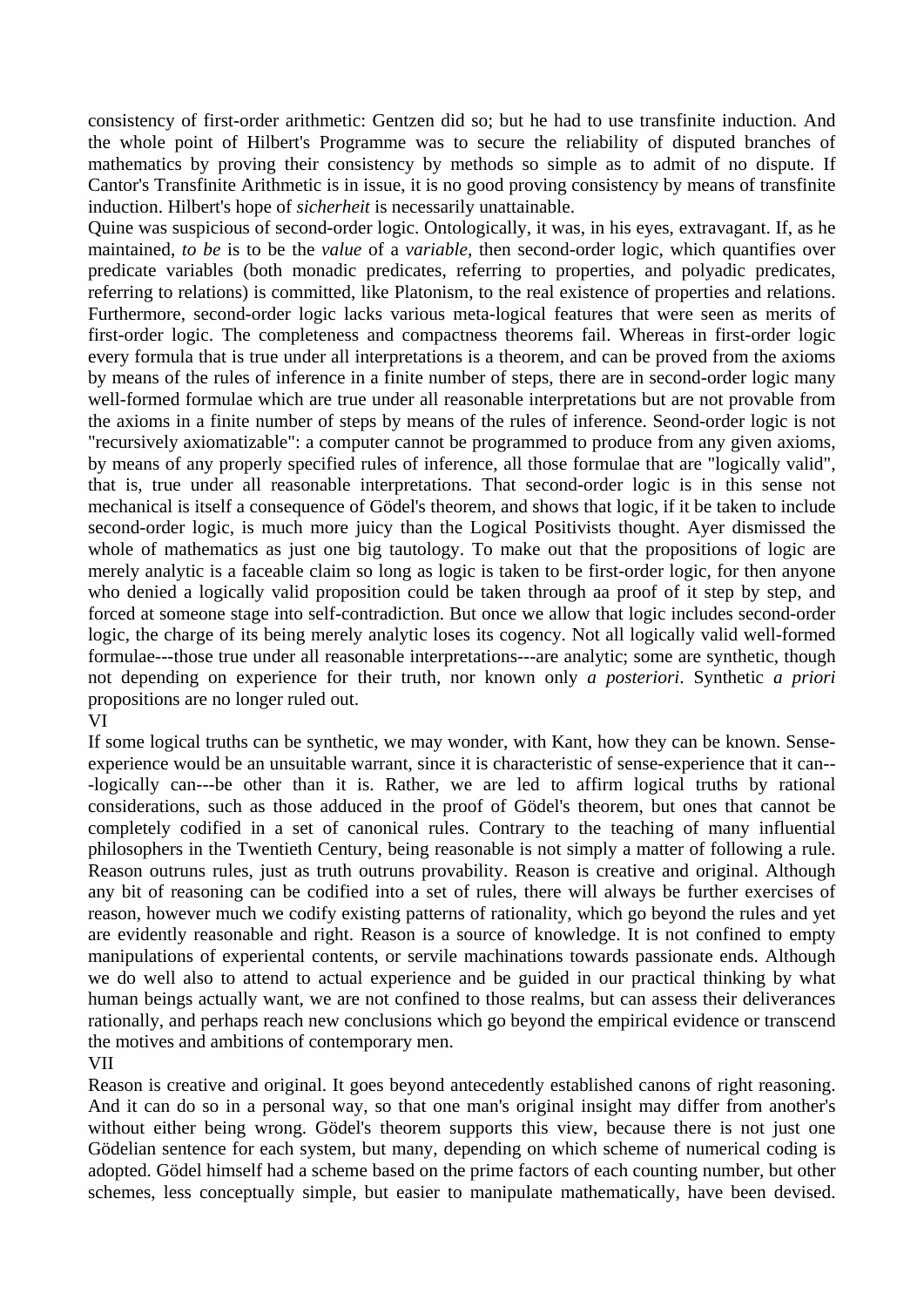consistency of first-order arithmetic: Gentzen did so; but he had to use transfinite induction. And the whole point of Hilbert's Programme was to secure the reliability of disputed branches of mathematics by proving their consistency by methods so simple as to admit of no dispute. If Cantor's Transfinite Arithmetic is in issue, it is no good proving consistency by means of transfinite induction. Hilbert's hope of *sicherheit* is necessarily unattainable.

Quine was suspicious of second-order logic. Ontologically, it was, in his eyes, extravagant. If, as he maintained, *to be* is to be the *value* of a *variable*, then second-order logic, which quantifies over predicate variables (both monadic predicates, referring to properties, and polyadic predicates, referring to relations) is committed, like Platonism, to the real existence of properties and relations. Furthermore, second-order logic lacks various meta-logical features that were seen as merits of first-order logic. The completeness and compactness theorems fail. Whereas in first-order logic every formula that is true under all interpretations is a theorem, and can be proved from the axioms by means of the rules of inference in a finite number of steps, there are in second-order logic many well-formed formulae which are true under all reasonable interpretations but are not provable from the axioms in a finite number of steps by means of the rules of inference. Seond-order logic is not "recursively axiomatizable": a computer cannot be programmed to produce from any given axioms, by means of any properly specified rules of inference, all those formulae that are "logically valid", that is, true under all reasonable interpretations. That second-order logic is in this sense not mechanical is itself a consequence of Gödel's theorem, and shows that logic, if it be taken to include second-order logic, is much more juicy than the Logical Positivists thought. Ayer dismissed the whole of mathematics as just one big tautology. To make out that the propositions of logic are merely analytic is a faceable claim so long as logic is taken to be first-order logic, for then anyone who denied a logically valid proposition could be taken through aa proof of it step by step, and forced at someone stage into self-contradiction. But once we allow that logic includes second-order logic, the charge of its being merely analytic loses its cogency. Not all logically valid well-formed formulae---those true under all reasonable interpretations---are analytic; some are synthetic, though not depending on experience for their truth, nor known only *a posteriori*. Synthetic *a priori* propositions are no longer ruled out.

#### VI

If some logical truths can be synthetic, we may wonder, with Kant, how they can be known. Senseexperience would be an unsuitable warrant, since it is characteristic of sense-experience that it can-- -logically can---be other than it is. Rather, we are led to affirm logical truths by rational considerations, such as those adduced in the proof of Gödel's theorem, but ones that cannot be completely codified in a set of canonical rules. Contrary to the teaching of many influential philosophers in the Twentieth Century, being reasonable is not simply a matter of following a rule. Reason outruns rules, just as truth outruns provability. Reason is creative and original. Although any bit of reasoning can be codified into a set of rules, there will always be further exercises of reason, however much we codify existing patterns of rationality, which go beyond the rules and yet are evidently reasonable and right. Reason is a source of knowledge. It is not confined to empty manipulations of experiental contents, or servile machinations towards passionate ends. Although we do well also to attend to actual experience and be guided in our practical thinking by what human beings actually want, we are not confined to those realms, but can assess their deliverances rationally, and perhaps reach new conclusions which go beyond the empirical evidence or transcend the motives and ambitions of contemporary men.

#### VII

Reason is creative and original. It goes beyond antecedently established canons of right reasoning. And it can do so in a personal way, so that one man's original insight may differ from another's without either being wrong. Gödel's theorem supports this view, because there is not just one Gödelian sentence for each system, but many, depending on which scheme of numerical coding is adopted. Gödel himself had a scheme based on the prime factors of each counting number, but other schemes, less conceptually simple, but easier to manipulate mathematically, have been devised.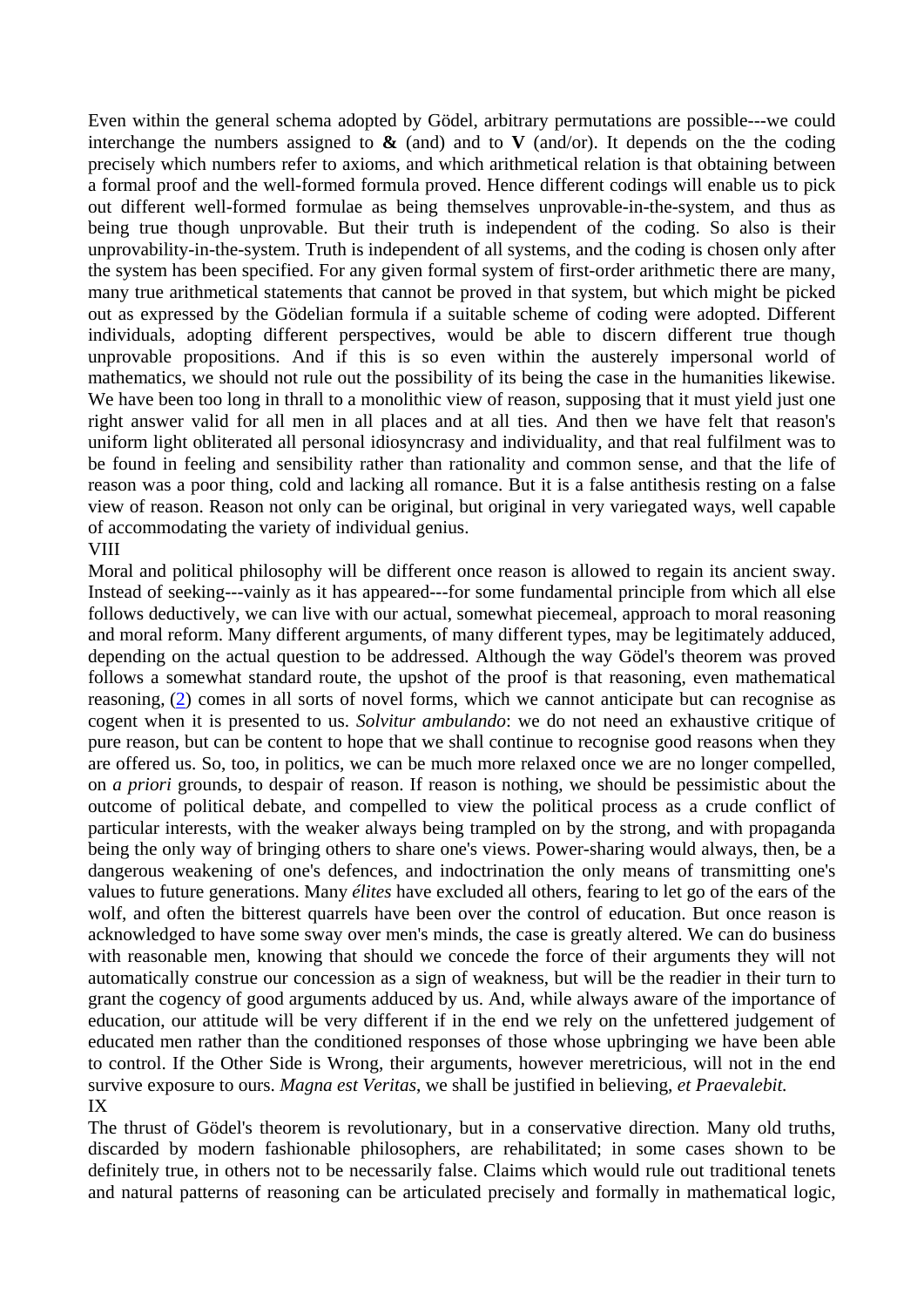Even within the general schema adopted by Gödel, arbitrary permutations are possible---we could interchange the numbers assigned to  $\&$  (and) and to  $\&$  (and/or). It depends on the the coding precisely which numbers refer to axioms, and which arithmetical relation is that obtaining between a formal proof and the well-formed formula proved. Hence different codings will enable us to pick out different well-formed formulae as being themselves unprovable-in-the-system, and thus as being true though unprovable. But their truth is independent of the coding. So also is their unprovability-in-the-system. Truth is independent of all systems, and the coding is chosen only after the system has been specified. For any given formal system of first-order arithmetic there are many, many true arithmetical statements that cannot be proved in that system, but which might be picked out as expressed by the Gödelian formula if a suitable scheme of coding were adopted. Different individuals, adopting different perspectives, would be able to discern different true though unprovable propositions. And if this is so even within the austerely impersonal world of mathematics, we should not rule out the possibility of its being the case in the humanities likewise. We have been too long in thrall to a monolithic view of reason, supposing that it must yield just one right answer valid for all men in all places and at all ties. And then we have felt that reason's uniform light obliterated all personal idiosyncrasy and individuality, and that real fulfilment was to be found in feeling and sensibility rather than rationality and common sense, and that the life of reason was a poor thing, cold and lacking all romance. But it is a false antithesis resting on a false view of reason. Reason not only can be original, but original in very variegated ways, well capable of accommodating the variety of individual genius.

#### VIII

Moral and political philosophy will be different once reason is allowed to regain its ancient sway. Instead of seeking---vainly as it has appeared---for some fundamental principle from which all else follows deductively, we can live with our actual, somewhat piecemeal, approach to moral reasoning and moral reform. Many different arguments, of many different types, may be legitimately adduced, depending on the actual question to be addressed. Although the way Gödel's theorem was proved follows a somewhat standard route, the upshot of the proof is that reasoning, even mathematical reasoning, (2) comes in all sorts of novel forms, which we cannot anticipate but can recognise as cogent when it is presented to us. *Solvitur ambulando*: we do not need an exhaustive critique of pure reason, but can be content to hope that we shall continue to recognise good reasons when they are offered us. So, too, in politics, we can be much more relaxed once we are no longer compelled, on *a priori* grounds, to despair of reason. If reason is nothing, we should be pessimistic about the outcome of political debate, and compelled to view the political process as a crude conflict of particular interests, with the weaker always being trampled on by the strong, and with propaganda being the only way of bringing others to share one's views. Power-sharing would always, then, be a dangerous weakening of one's defences, and indoctrination the only means of transmitting one's values to future generations. Many *élites* have excluded all others, fearing to let go of the ears of the wolf, and often the bitterest quarrels have been over the control of education. But once reason is acknowledged to have some sway over men's minds, the case is greatly altered. We can do business with reasonable men, knowing that should we concede the force of their arguments they will not automatically construe our concession as a sign of weakness, but will be the readier in their turn to grant the cogency of good arguments adduced by us. And, while always aware of the importance of education, our attitude will be very different if in the end we rely on the unfettered judgement of educated men rather than the conditioned responses of those whose upbringing we have been able to control. If the Other Side is Wrong, their arguments, however meretricious, will not in the end survive exposure to ours. *Magna est Veritas*, we shall be justified in believing, *et Praevalebit.* IX

The thrust of Gödel's theorem is revolutionary, but in a conservative direction. Many old truths, discarded by modern fashionable philosophers, are rehabilitated; in some cases shown to be definitely true, in others not to be necessarily false. Claims which would rule out traditional tenets and natural patterns of reasoning can be articulated precisely and formally in mathematical logic,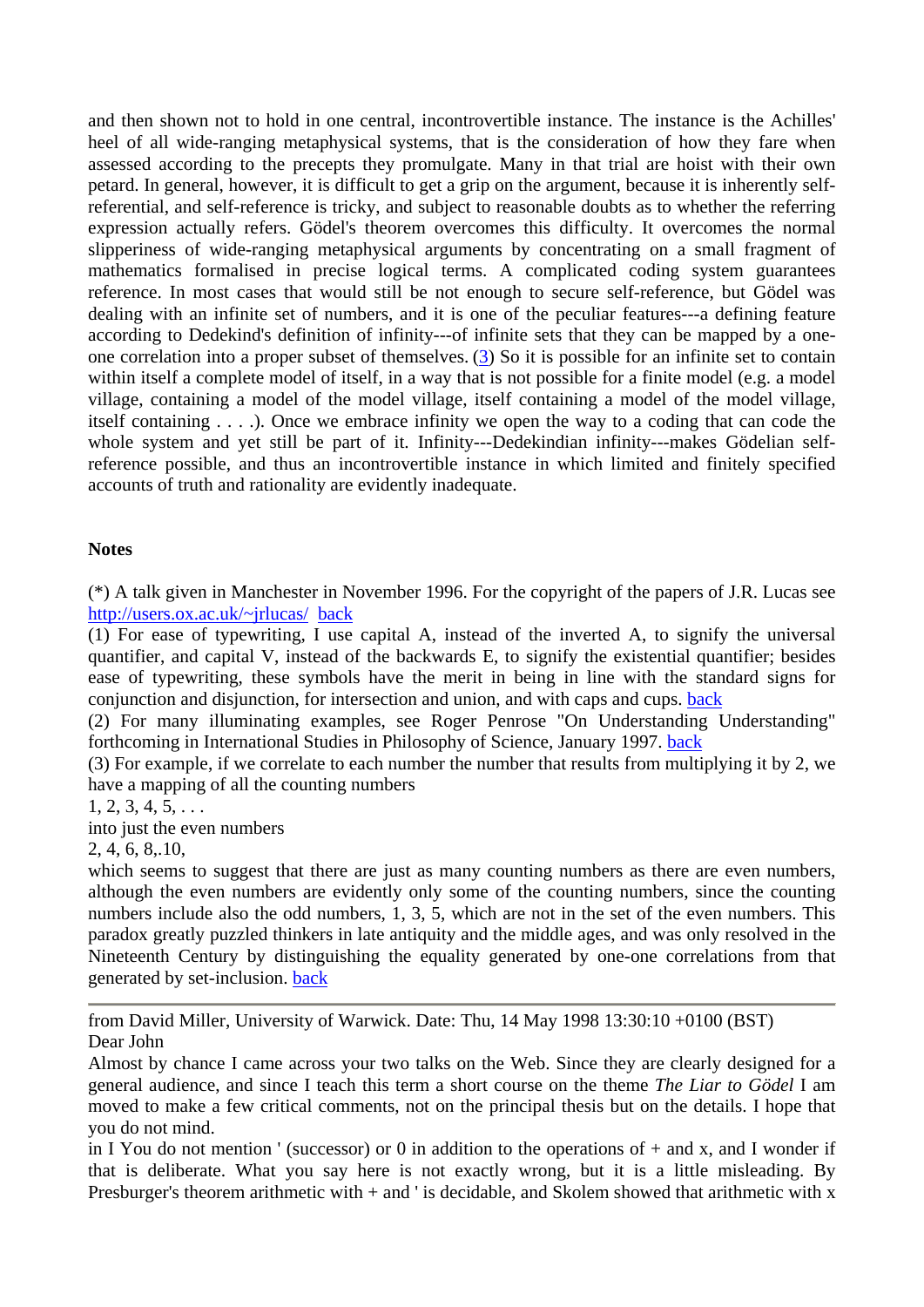and then shown not to hold in one central, incontrovertible instance. The instance is the Achilles' heel of all wide-ranging metaphysical systems, that is the consideration of how they fare when assessed according to the precepts they promulgate. Many in that trial are hoist with their own petard. In general, however, it is difficult to get a grip on the argument, because it is inherently selfreferential, and self-reference is tricky, and subject to reasonable doubts as to whether the referring expression actually refers. Gödel's theorem overcomes this difficulty. It overcomes the normal slipperiness of wide-ranging metaphysical arguments by concentrating on a small fragment of mathematics formalised in precise logical terms. A complicated coding system guarantees reference. In most cases that would still be not enough to secure self-reference, but Gödel was dealing with an infinite set of numbers, and it is one of the peculiar features---a defining feature according to Dedekind's definition of infinity---of infinite sets that they can be mapped by a oneone correlation into a proper subset of themselves. (3) So it is possible for an infinite set to contain within itself a complete model of itself, in a way that is not possible for a finite model (e.g. a model village, containing a model of the model village, itself containing a model of the model village, itself containing . . . .). Once we embrace infinity we open the way to a coding that can code the whole system and yet still be part of it. Infinity---Dedekindian infinity---makes Gödelian selfreference possible, and thus an incontrovertible instance in which limited and finitely specified accounts of truth and rationality are evidently inadequate.

### **Notes**

(\*) A talk given in Manchester in November 1996. For the copyright of the papers of J.R. Lucas see http://users.ox.ac.uk/~jrlucas/ back

(1) For ease of typewriting, I use capital A, instead of the inverted A, to signify the universal quantifier, and capital V, instead of the backwards E, to signify the existential quantifier; besides ease of typewriting, these symbols have the merit in being in line with the standard signs for conjunction and disjunction, for intersection and union, and with caps and cups. back

(2) For many illuminating examples, see Roger Penrose "On Understanding Understanding" forthcoming in International Studies in Philosophy of Science, January 1997. back

(3) For example, if we correlate to each number the number that results from multiplying it by 2, we have a mapping of all the counting numbers

 $1, 2, 3, 4, 5, \ldots$ 

into just the even numbers

2, 4, 6, 8,.10,

which seems to suggest that there are just as many counting numbers as there are even numbers, although the even numbers are evidently only some of the counting numbers, since the counting numbers include also the odd numbers, 1, 3, 5, which are not in the set of the even numbers. This paradox greatly puzzled thinkers in late antiquity and the middle ages, and was only resolved in the Nineteenth Century by distinguishing the equality generated by one-one correlations from that generated by set-inclusion. back

from David Miller, University of Warwick. Date: Thu, 14 May 1998 13:30:10 +0100 (BST) Dear John

Almost by chance I came across your two talks on the Web. Since they are clearly designed for a general audience, and since I teach this term a short course on the theme *The Liar to Gödel* I am moved to make a few critical comments, not on the principal thesis but on the details. I hope that you do not mind.

in I You do not mention ' (successor) or 0 in addition to the operations of  $+$  and x, and I wonder if that is deliberate. What you say here is not exactly wrong, but it is a little misleading. By Presburger's theorem arithmetic with + and ' is decidable, and Skolem showed that arithmetic with x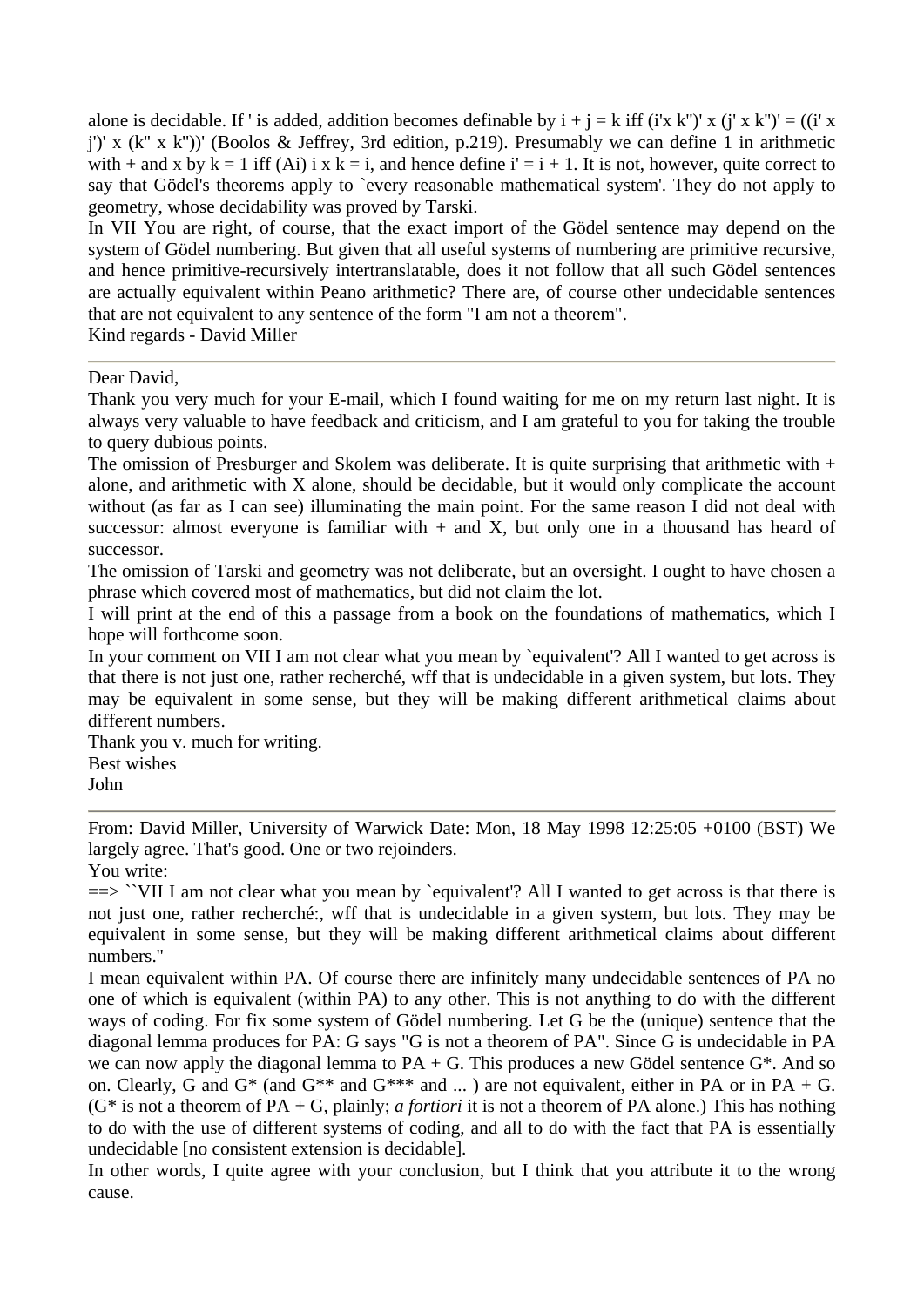alone is decidable. If ' is added, addition becomes definable by  $i + j = k$  iff  $(i'x k'')' x (j'x k'')' = ((i'x k'')' + (j'x k'')')'$ j')' x (k'' x k''))' (Boolos & Jeffrey, 3rd edition, p.219). Presumably we can define 1 in arithmetic with + and x by  $k = 1$  iff (Ai) i x  $k = i$ , and hence define  $i' = i + 1$ . It is not, however, quite correct to say that Gödel's theorems apply to `every reasonable mathematical system'. They do not apply to geometry, whose decidability was proved by Tarski.

In VII You are right, of course, that the exact import of the Gödel sentence may depend on the system of Gödel numbering. But given that all useful systems of numbering are primitive recursive, and hence primitive-recursively intertranslatable, does it not follow that all such Gödel sentences are actually equivalent within Peano arithmetic? There are, of course other undecidable sentences that are not equivalent to any sentence of the form "I am not a theorem".

Kind regards - David Miller

#### Dear David,

Thank you very much for your E-mail, which I found waiting for me on my return last night. It is always very valuable to have feedback and criticism, and I am grateful to you for taking the trouble to query dubious points.

The omission of Presburger and Skolem was deliberate. It is quite surprising that arithmetic with + alone, and arithmetic with X alone, should be decidable, but it would only complicate the account without (as far as I can see) illuminating the main point. For the same reason I did not deal with successor: almost everyone is familiar with  $+$  and X, but only one in a thousand has heard of successor.

The omission of Tarski and geometry was not deliberate, but an oversight. I ought to have chosen a phrase which covered most of mathematics, but did not claim the lot.

I will print at the end of this a passage from a book on the foundations of mathematics, which I hope will forthcome soon.

In your comment on VII I am not clear what you mean by 'equivalent'? All I wanted to get across is that there is not just one, rather recherché, wff that is undecidable in a given system, but lots. They may be equivalent in some sense, but they will be making different arithmetical claims about different numbers.

Thank you v. much for writing. Best wishes John

From: David Miller, University of Warwick Date: Mon, 18 May 1998 12:25:05 +0100 (BST) We largely agree. That's good. One or two rejoinders.

You write:

==> ``VII I am not clear what you mean by `equivalent'? All I wanted to get across is that there is not just one, rather recherché:, wff that is undecidable in a given system, but lots. They may be equivalent in some sense, but they will be making different arithmetical claims about different numbers.''

I mean equivalent within PA. Of course there are infinitely many undecidable sentences of PA no one of which is equivalent (within PA) to any other. This is not anything to do with the different ways of coding. For fix some system of Gödel numbering. Let G be the (unique) sentence that the diagonal lemma produces for PA: G says "G is not a theorem of PA". Since G is undecidable in PA we can now apply the diagonal lemma to  $PA + G$ . This produces a new Gödel sentence  $G^*$ . And so on. Clearly, G and G<sup>\*</sup> (and G<sup>\*\*</sup> and G<sup>\*\*\*</sup> and ...) are not equivalent, either in PA or in PA + G.  $(G^*$  is not a theorem of PA + G, plainly; *a fortiori* it is not a theorem of PA alone.) This has nothing to do with the use of different systems of coding, and all to do with the fact that PA is essentially undecidable [no consistent extension is decidable].

In other words, I quite agree with your conclusion, but I think that you attribute it to the wrong cause.